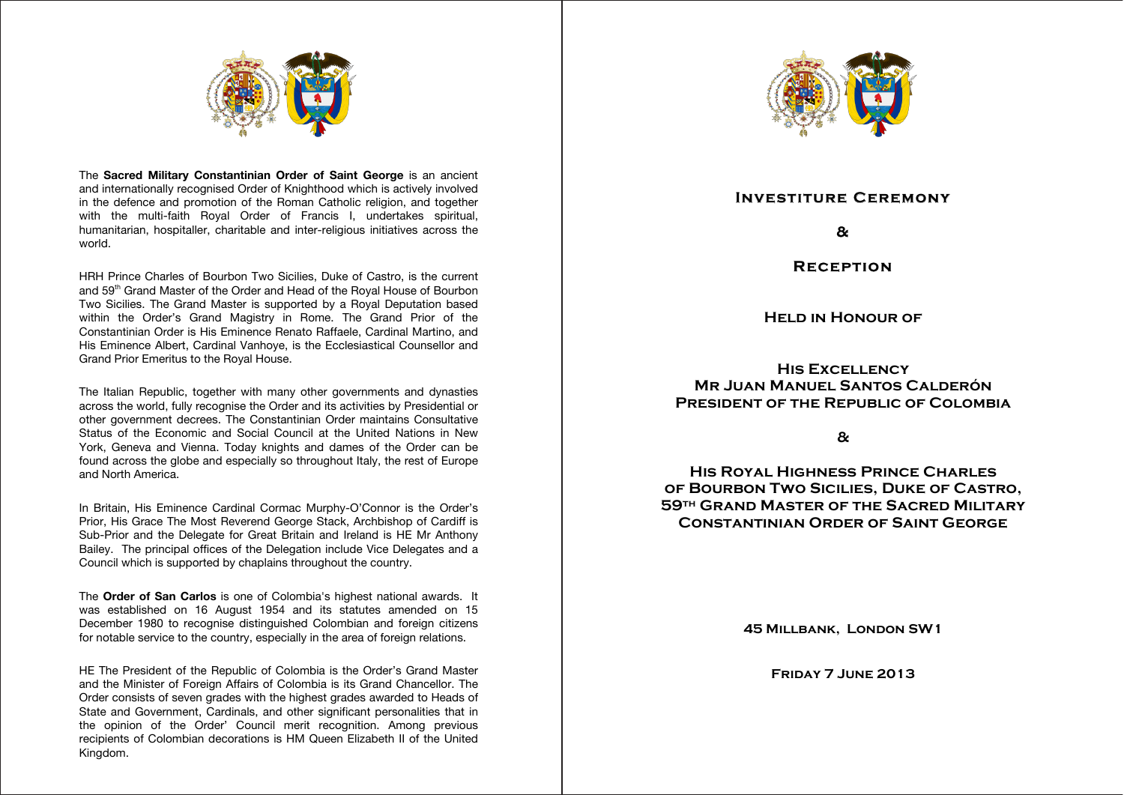

The Sacred Military Constantinian Order of Saint George is an ancient and internationally recognised Order of Knighthood which is actively involved in the defence and promotion of the Roman Catholic religion, and together with the multi-faith Royal Order of Francis I, undertakes spiritual, humanitarian, hospitaller, charitable and inter-religious initiatives across the world. **HE The President and The First Lady** 

HRH Prince Charles of Bourbon Two Sicilies, Duke of Castro, is the current **and**  and 59<sup>th</sup> Grand Master of the Order and Head of the Royal House of Bourbon Two Sicilies. The Grand Master is supported by a Royal Deputation based within the Order's Grand Magistry in Rome. The Grand Prior of the Constantinian Order is His Eminence Renato Raffaele, Cardinal Martino, and His Eminence Albert, Cardinal Vanhoye, is the Ecclesiastical Counsellor and Grand Prior Emeritus to the Royal House. **\*\*\***

The Italian Republic, together with many other governments and dynasties across the world, fully recognise the Order and its activities by Presidential or other government decrees. The Constantinian Order maintains Consultative **\*\*\*** Status of the Economic and Social Council at the United Nations in New York, Geneva and Vienna. Today knights and dames of the Order can be found across the globe and especially so throughout Italy, the rest of Europe<br>and North America and North America. with many othe

In Britain, His Eminence Cardinal Cormac Murphy-O'Connor is the Order's **\*\*\*** Prior, His Grace The Most Reverend George Stack, Archbishop of Cardiff is Sub-Prior and the Delegate for Great Britain and Ireland is HE Mr Anthony Bailey. The principal offices of the Delegation include Vice Delegates and a Council which is supported by chaplains throughout the country.

The **Order of San Carlos** is one of Colombia's highest national awards. It **\*\*\*** was established on 16 August 1954 and its statutes amended on 15 December 1980 to recognise distinguished Colombian and foreign citizens for notable service to the country, especially in the area of foreign relations.

HE The President of the Republic of Colombia is the Order's Grand Master and the Minister of Foreign Affairs of Colombia is its Grand Chancellor. The **HE Mr Anthony Bailey, obe, gcss, gcmco,** Order consists of seven grades with the highest grades awarded to Heads of **\*\*\***State and Government, Cardinals, and other significant personalities that in the opinion of the Order' Council merit recognition. Among previous recipients of Colombian decorations is HM Queen Elizabeth II of the United Kingdom.



## **Investiture Ceremony**

**& Arrival of HE The President and The First Lady** 

**Reception**

**Held in Honour of** 

**His Excellency Mr Juan Manuel Santos Calderón The National Anthem of the United Kingdom PRESIDENT OF THE REPUBLIC OF COLOMBIA** 

**&**

**His Royal Highness Prince Charles The National Anthem of the Republic of Colombia of Bourbon Two Sicilies, Duke of Castro, (to be sung) 59th Grand Master of the Sacred Military \*\*\* Constantinian Order of Saint George**

**45 MILLBANK, LONDON SW1** 

**Friday 7 June 2013 HE Mr Anthony Bailey, obe, gcss, gcmco, and Delegate for Great Britain and Ireland**